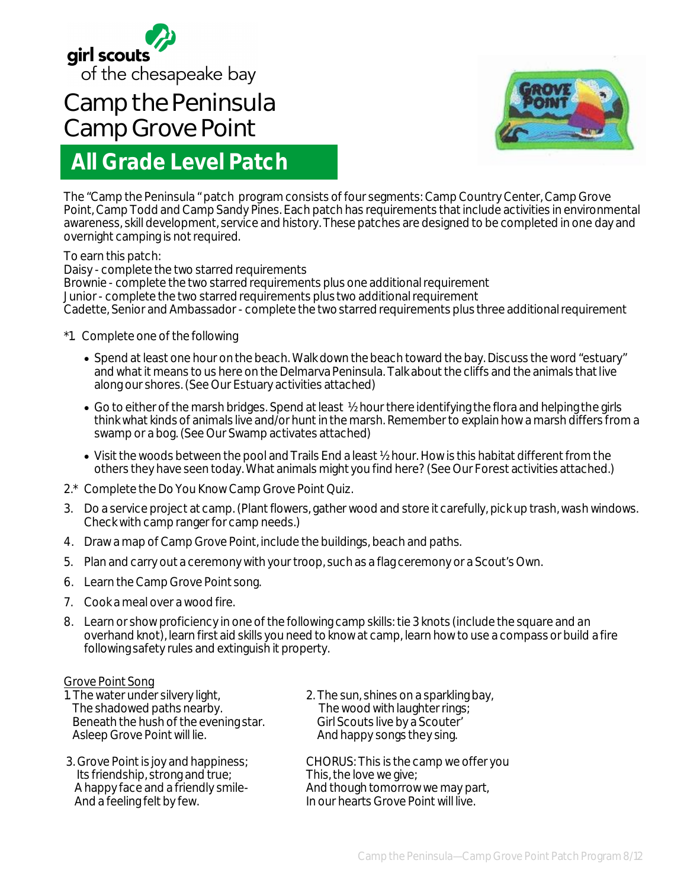

# **Camp the Peninsula Camp Grove Point**

# **All Grade Level Patch**



The "Camp the Peninsula " patch program consists of four segments: Camp Country Center, Camp Grove Point, Camp Todd and Camp Sandy Pines. Each patch has requirements that include activities in environmental awareness, skill development, service and history. These patches are designed to be completed in one day and overnight camping is not required.

To earn this patch:

Daisy - complete the two starred requirements Brownie - complete the two starred requirements plus one additional requirement Junior - complete the two starred requirements plus two additional requirement Cadette, Senior and Ambassador - complete the two starred requirements plus three additional requirement

- \*1. Complete one of the following
	- Spend at least one hour on the beach. Walk down the beach toward the bay. Discuss the word "estuary" and what it means to us here on the Delmarva Peninsula. Talk about the cliffs and the animals that live along our shores. (See Our Estuary activities attached)
	- Go to either of the marsh bridges. Spend at least 1/2 hour there identifying the flora and helping the girls think what kinds of animals live and/or hunt in the marsh. Remember to explain how a marsh differs from a swamp or a bog. (See Our Swamp activates attached)
	- Visit the woods between the pool and Trails End a least ½ hour. How is this habitat different from the others they have seen today. What animals might you find here? (See Our Forest activities attached.)
- 2.\* Complete the Do You Know Camp Grove Point Quiz.
- 3. Do a service project at camp. (Plant flowers, gather wood and store it carefully, pick up trash, wash windows. Check with camp ranger for camp needs.)
- 4. Draw a map of Camp Grove Point, include the buildings, beach and paths.
- 5. Plan and carry out a ceremony with your troop, such as a flag ceremony or a Scout's Own.
- 6. Learn the Camp Grove Point song.
- 7. Cook a meal over a wood fire.
- 8. Learn or show proficiency in one of the following camp skills: tie 3 knots (include the square and an overhand knot), learn first aid skills you need to know at camp, learn how to use a compass or build a fire following safety rules and extinguish it property.

- Grove Point Song<br>1. The water under silvery light, The shadowed paths nearby. The wood with laughter rings<br>Beneath the hush of the evening star. Girl Scouts live by a Scouter' Beneath the hush of the evening star.<br>Asleep Grove Point will lie.
- Its friendship, strong and true;<br>A happy face and a friendly smile-

2. The sun, shines on a sparkling bay,<br>The wood with laughter rings; And happy songs they sing.

3. Grove Point is joy and happiness; CHORUS: This is the camp we offer you<br>Its friendship, strong and true; This, the love we give; A happy face and a friendly smile-<br>And a feeling felt by few. And though tomorrow we may part, In our hearts Grove Point will live.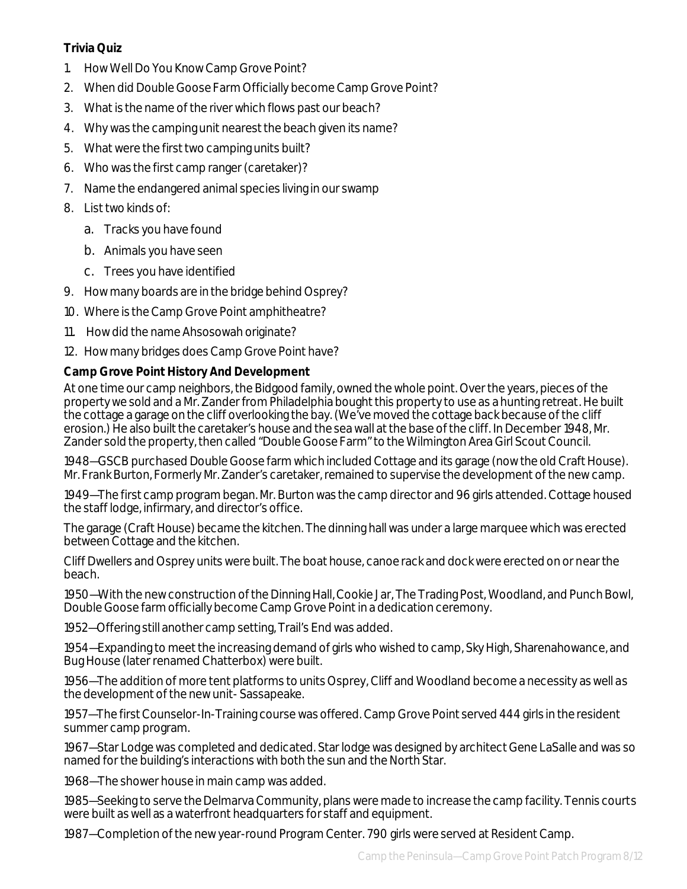# **Trivia Quiz**

- 1. How Well Do You Know Camp Grove Point?
- 2. When did Double Goose Farm Officially become Camp Grove Point?
- 3. What is the name of the river which flows past our beach?
- 4. Why was the camping unit nearest the beach given its name?
- 5. What were the first two camping units built?
- 6. Who was the first camp ranger (caretaker)?
- 7. Name the endangered animal species living in our swamp
- 8. List two kinds of:
	- a. Tracks you have found
	- b. Animals you have seen
	- c. Trees you have identified
- 9. How many boards are in the bridge behind Osprey?
- 10. Where is the Camp Grove Point amphitheatre?
- 11. How did the name Ahsosowah originate?
- 12. How many bridges does Camp Grove Point have?

# **Camp Grove Point History And Development**

At one time our camp neighbors, the Bidgood family, owned the whole point. Over the years, pieces of the property we sold and a Mr. Zander from Philadelphia bought this property to use as a hunting retreat. He built the cottage a garage on the cliff overlooking the bay. (We've moved the cottage back because of the cliff erosion.) He also built the caretaker's house and the sea wall at the base of the cliff. In December 1948, Mr. Zander sold the property, then called "Double Goose Farm" to the Wilmington Area Girl Scout Council.

1948—GSCB purchased Double Goose farm which included Cottage and its garage (now the old Craft House). Mr. Frank Burton, Formerly Mr. Zander's caretaker, remained to supervise the development of the new camp.

1949—The first camp program began. Mr. Burton was the camp director and 96 girls attended. Cottage housed the staff lodge, infirmary, and director's office.

The garage (Craft House) became the kitchen. The dinning hall was under a large marquee which was erected between Cottage and the kitchen.

Cliff Dwellers and Osprey units were built. The boat house, canoe rack and dock were erected on or near the beach.

1950—With the new construction of the Dinning Hall, Cookie Jar, The Trading Post, Woodland, and Punch Bowl, Double Goose farm officially become Camp Grove Point in a dedication ceremony.

1952—Offering still another camp setting, Trail's End was added.

1954—Expanding to meet the increasing demand of girls who wished to camp, Sky High, Sharenahowance, and Bug House (later renamed Chatterbox) were built.

1956—The addition of more tent platforms to units Osprey, Cliff and Woodland become a necessity as well as the development of the new unit- Sassapeake.

1957—The first Counselor-In-Training course was offered. Camp Grove Point served 444 girls in the resident summer camp program.

1967—Star Lodge was completed and dedicated. Star lodge was designed by architect Gene LaSalle and was so named for the building's interactions with both the sun and the North Star.

1968—The shower house in main camp was added.

1985—Seeking to serve the Delmarva Community, plans were made to increase the camp facility. Tennis courts were built as well as a waterfront headquarters for staff and equipment.

1987—Completion of the new year-round Program Center. 790 girls were served at Resident Camp.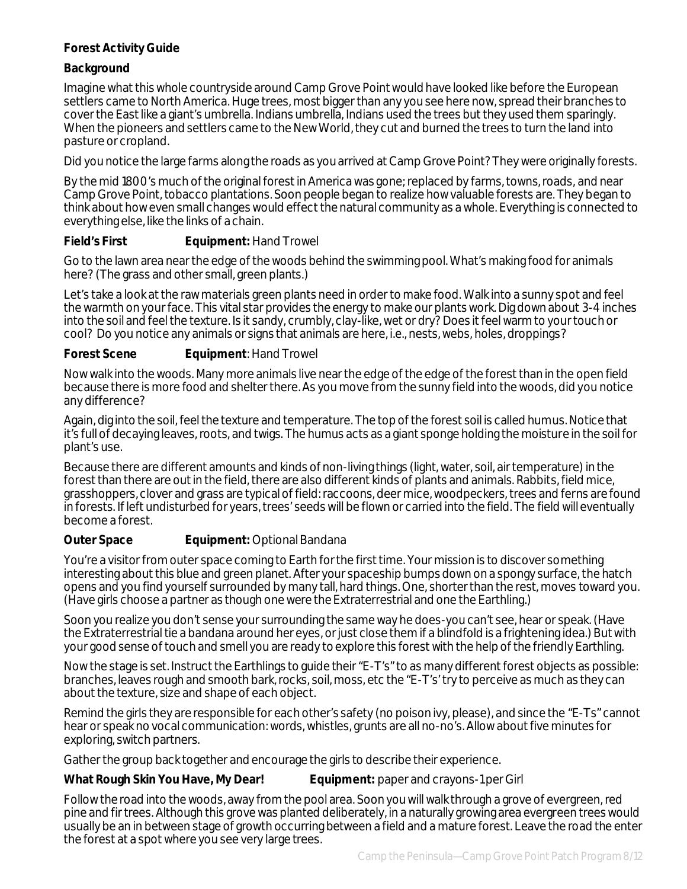# **Forest Activity Guide**

# **Background**

Imagine what this whole countryside around Camp Grove Point would have looked like before the European settlers came to North America. Huge trees, most bigger than any you see here now, spread their branches to cover the East like a giant's umbrella. Indians umbrella, Indians used the trees but they used them sparingly. When the pioneers and settlers came to the New World, they cut and burned the trees to turn the land into pasture or cropland.

Did you notice the large farms along the roads as you arrived at Camp Grove Point? They were originally forests.

By the mid 1800's much of the original forest in America was gone; replaced by farms, towns, roads, and near Camp Grove Point, tobacco plantations. Soon people began to realize how valuable forests are. They began to think about how even small changes would effect the natural community as a whole. Everything is connected to everything else, like the links of a chain.

# **Field's First Equipment: Hand Trowel**

Go to the lawn area near the edge of the woods behind the swimming pool. What's making food for animals here? (The grass and other small, green plants.)

Let's take a look at the raw materials green plants need in order to make food. Walk into a sunny spot and feel the warmth on your face. This vital star provides the energy to make our plants work. Dig down about 3-4 inches into the soil and feel the texture. Is it sandy, crumbly, clay-like, wet or dry? Does it feel warm to your touch or cool? Do you notice any animals or signs that animals are here, i.e., nests, webs, holes, droppings?

# **Forest Scene Equipment**: Hand Trowel

Now walk into the woods. Many more animals live near the edge of the edge of the forest than in the open field because there is more food and shelter there. As you move from the sunny field into the woods, did you notice any difference?

Again, dig into the soil, feel the texture and temperature. The top of the forest soil is called humus. Notice that it's full of decaying leaves, roots, and twigs. The humus acts as a giant sponge holding the moisture in the soil for plant's use.

Because there are different amounts and kinds of non-living things (light, water, soil, air temperature) in the forest than there are out in the field, there are also different kinds of plants and animals. Rabbits, field mice, grasshoppers, clover and grass are typical of field: raccoons, deer mice, woodpeckers, trees and ferns are found in forests. If left undisturbed for years, trees' seeds will be flown or carried into the field. The field will eventually become a forest.

# **Outer Space Equipment: Optional Bandana**

You're a visitor from outer space coming to Earth for the first time. Your mission is to discover something interesting about this blue and green planet. After your spaceship bumps down on a spongy surface, the hatch opens and you find yourself surrounded by many tall, hard things. One, shorter than the rest, moves toward you. (Have girls choose a partner as though one were the Extraterrestrial and one the Earthling.)

Soon you realize you don't sense your surrounding the same way he does-you can't see, hear or speak. (Have the Extraterrestrial tie a bandana around her eyes, or just close them if a blindfold is a frightening idea.) But with your good sense of touch and smell you are ready to explore this forest with the help of the friendly Earthling.

Now the stage is set. Instruct the Earthlings to guide their "E-T's" to as many different forest objects as possible: branches, leaves rough and smooth bark, rocks, soil, moss, etc the "E-T's' try to perceive as much as they can about the texture, size and shape of each object.

Remind the girls they are responsible for each other's safety (no poison ivy, please), and since the "E-Ts" cannot hear or speak no vocal communication: words, whistles, grunts are all no-no's. Allow about five minutes for exploring, switch partners.

Gather the group back together and encourage the girls to describe their experience.

# **What Rough Skin You Have, My Dear! Equipment:** paper and crayons-1 per Girl

Follow the road into the woods, away from the pool area. Soon you will walk through a grove of evergreen, red pine and fir trees. Although this grove was planted deliberately, in a naturally growing area evergreen trees would usually be an in between stage of growth occurring between a field and a mature forest. Leave the road the enter the forest at a spot where you see very large trees.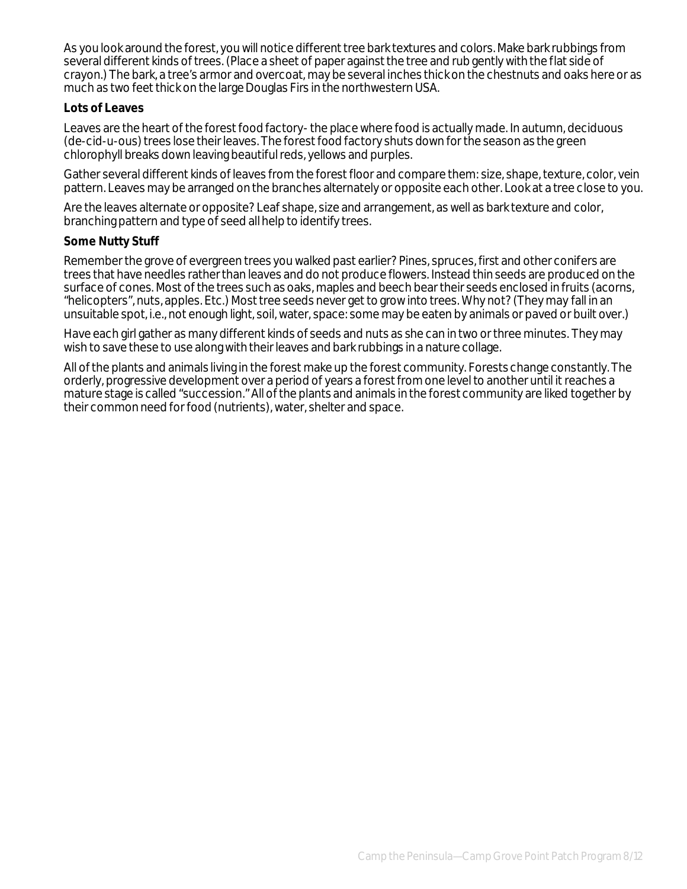As you look around the forest, you will notice different tree bark textures and colors. Make bark rubbings from several different kinds of trees. (Place a sheet of paper against the tree and rub gently with the flat side of crayon.) The bark, a tree's armor and overcoat, may be several inches thick on the chestnuts and oaks here or as much as two feet thick on the large Douglas Firs in the northwestern USA.

# **Lots of Leaves**

Leaves are the heart of the forest food factory-the place where food is actually made. In autumn, deciduous (de-cid-u-ous) trees lose their leaves. The forest food factory shuts down for the season as the green chlorophyll breaks down leaving beautiful reds, yellows and purples.

Gather several different kinds of leaves from the forest floor and compare them: size, shape, texture, color, vein pattern. Leaves may be arranged on the branches alternately or opposite each other. Look at a tree close to you.

Are the leaves alternate or opposite? Leaf shape, size and arrangement, as well as bark texture and color, branching pattern and type of seed all help to identify trees.

#### **Some Nutty Stuff**

Remember the grove of evergreen trees you walked past earlier? Pines, spruces, first and other conifers are trees that have needles rather than leaves and do not produce flowers. Instead thin seeds are produced on the surface of cones. Most of the trees such as oaks, maples and beech bear their seeds enclosed in fruits (acorns, "helicopters", nuts, apples. Etc.) Most tree seeds never get to grow into trees. Why not? (They may fall in an unsuitable spot, i.e., not enough light, soil, water, space: some may be eaten by animals or paved or built over.)

Have each girl gather as many different kinds of seeds and nuts as she can in two or three minutes. They may wish to save these to use along with their leaves and bark rubbings in a nature collage.

All of the plants and animals living in the forest make up the forest community. Forests change constantly. The orderly, progressive development over a period of years a forest from one level to another until it reaches a mature stage is called "succession." All of the plants and animals in the forest community are liked together by their common need for food (nutrients), water, shelter and space.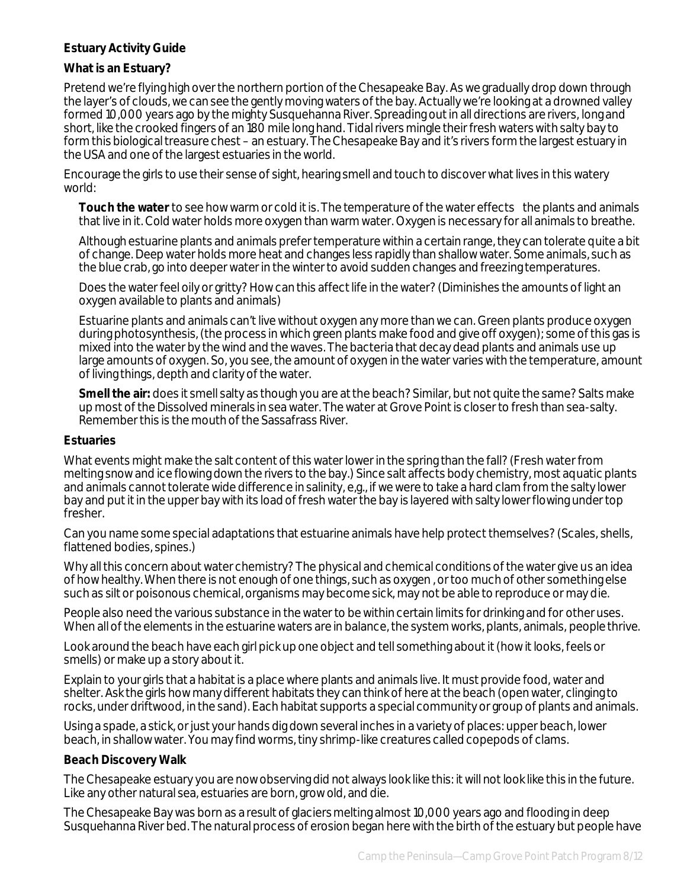# **Estuary Activity Guide**

# **What is an Estuary?**

Pretend we're flying high over the northern portion of the Chesapeake Bay. As we gradually drop down through the layer's of clouds, we can see the gently moving waters of the bay. Actually we're looking at a drowned valley formed 10,000 years ago by the mighty Susquehanna River. Spreading out in all directions are rivers, long and short, like the crooked fingers of an 180 mile long hand. Tidal rivers mingle their fresh waters with salty bay to form this biological treasure chest – an estuary. The Chesapeake Bay and it's rivers form the largest estuary in the USA and one of the largest estuaries in the world.

Encourage the girls to use their sense of sight, hearing smell and touch to discover what lives in this watery world:

**Touch the water** to see how warm or cold it is. The temperature of the water effects the plants and animals that live in it. Cold water holds more oxygen than warm water. Oxygen is necessary for all animals to breathe.

Although estuarine plants and animals prefer temperature within a certain range, they can tolerate quite a bit of change. Deep water holds more heat and changes less rapidly than shallow water. Some animals, such as the blue crab, go into deeper water in the winter to avoid sudden changes and freezing temperatures.

Does the water feel oily or gritty? How can this affect life in the water? (Diminishes the amounts of light an oxygen available to plants and animals)

Estuarine plants and animals can't live without oxygen any more than we can. Green plants produce oxygen during photosynthesis, (the process in which green plants make food and give off oxygen); some of this gas is mixed into the water by the wind and the waves. The bacteria that decay dead plants and animals use up large amounts of oxygen. So, you see, the amount of oxygen in the water varies with the temperature, amount of living things, depth and clarity of the water.

**Smell the air:** does it smell salty as though you are at the beach? Similar, but not quite the same? Salts make up most of the Dissolved minerals in sea water. The water at Grove Point is closer to fresh than sea-salty. Remember this is the mouth of the Sassafrass River.

#### **Estuaries**

What events might make the salt content of this water lower in the spring than the fall? (Fresh water from melting snow and ice flowing down the rivers to the bay.) Since salt affects body chemistry, most aquatic plants and animals cannot tolerate wide difference in salinity, e,g., if we were to take a hard clam from the salty lower bay and put it in the upper bay with its load of fresh water the bay is layered with salty lower flowing under top fresher.

Can you name some special adaptations that estuarine animals have help protect themselves? (Scales, shells, flattened bodies, spines.)

Why all this concern about water chemistry? The physical and chemical conditions of the water give us an idea of how healthy. When there is not enough of one things, such as oxygen , or too much of other something else such as silt or poisonous chemical, organisms may become sick, may not be able to reproduce or may die.

People also need the various substance in the water to be within certain limits for drinking and for other uses. When all of the elements in the estuarine waters are in balance, the system works, plants, animals, people thrive.

Look around the beach have each girl pick up one object and tell something about it (how it looks, feels or smells) or make up a story about it.

Explain to your girls that a habitat is a place where plants and animals live. It must provide food, water and shelter. Ask the girls how many different habitats they can think of here at the beach (open water, clinging to rocks, under driftwood, in the sand). Each habitat supports a special community or group of plants and animals.

Using a spade, a stick, or just your hands dig down several inches in a variety of places: upper beach, lower beach, in shallow water. You may find worms, tiny shrimp-like creatures called copepods of clams.

#### **Beach Discovery Walk**

The Chesapeake estuary you are now observing did not always look like this: it will not look like this in the future. Like any other natural sea, estuaries are born, grow old, and die.

The Chesapeake Bay was born as a result of glaciers melting almost 10,000 years ago and flooding in deep Susquehanna River bed. The natural process of erosion began here with the birth of the estuary but people have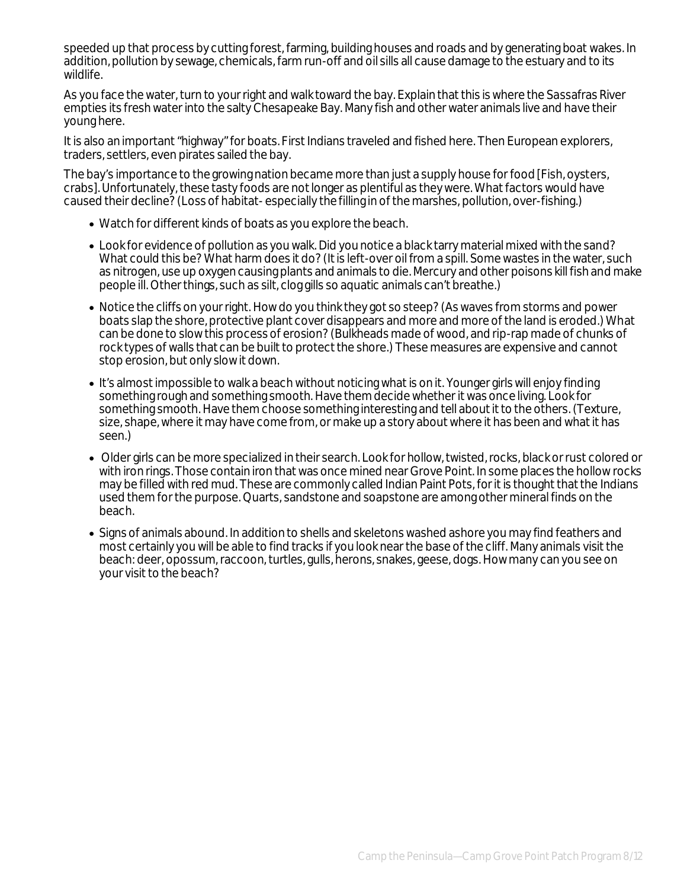speeded up that process by cutting forest, farming, building houses and roads and by generating boat wakes. In addition, pollution by sewage, chemicals, farm run-off and oil sills all cause damage to the estuary and to its wildlife.

As you face the water, turn to your right and walk toward the bay. Explain that this is where the Sassafras River empties its fresh water into the salty Chesapeake Bay. Many fish and other water animals live and have their young here.

It is also an important "highway" for boats. First Indians traveled and fished here. Then European explorers, traders, settlers, even pirates sailed the bay.

The bay's importance to the growing nation became more than just a supply house for food [Fish, oysters, crabs]. Unfortunately, these tasty foods are not longer as plentiful as they were. What factors would have caused their decline? (Loss of habitat- especially the filling in of the marshes, pollution, over-fishing.)

- Watch for different kinds of boats as you explore the beach.
- Look for evidence of pollution as you walk. Did you notice a black tarry material mixed with the sand? What could this be? What harm does it do? (It is left-over oil from a spill. Some wastes in the water, such as nitrogen, use up oxygen causing plants and animals to die. Mercury and other poisons kill fish and make people ill. Other things, such as silt, clog gills so aquatic animals can't breathe.)
- Notice the cliffs on your right. How do you think they got so steep? (As waves from storms and power boats slap the shore, protective plant cover disappears and more and more of the land is eroded.) What can be done to slow this process of erosion? (Bulkheads made of wood, and rip-rap made of chunks of rock types of walls that can be built to protect the shore.) These measures are expensive and cannot stop erosion, but only slow it down.
- It's almost impossible to walk a beach without noticing what is on it. Younger girls will enjoy finding something rough and something smooth. Have them decide whether it was once living. Look for something smooth. Have them choose something interesting and tell about it to the others. (Texture, size, shape, where it may have come from, or make up a story about where it has been and what it has seen.)
- Older girls can be more specialized in their search. Look for hollow, twisted, rocks, black or rust colored or with iron rings. Those contain iron that was once mined near Grove Point. In some places the hollow rocks may be filled with red mud. These are commonly called Indian Paint Pots, for it is thought that the Indians used them for the purpose. Quarts, sandstone and soapstone are among other mineral finds on the beach.
- Signs of animals abound. In addition to shells and skeletons washed ashore you may find feathers and most certainly you will be able to find tracks if you look near the base of the cliff. Many animals visit the beach: deer, opossum, raccoon, turtles, gulls, herons, snakes, geese, dogs. How many can you see on your visit to the beach?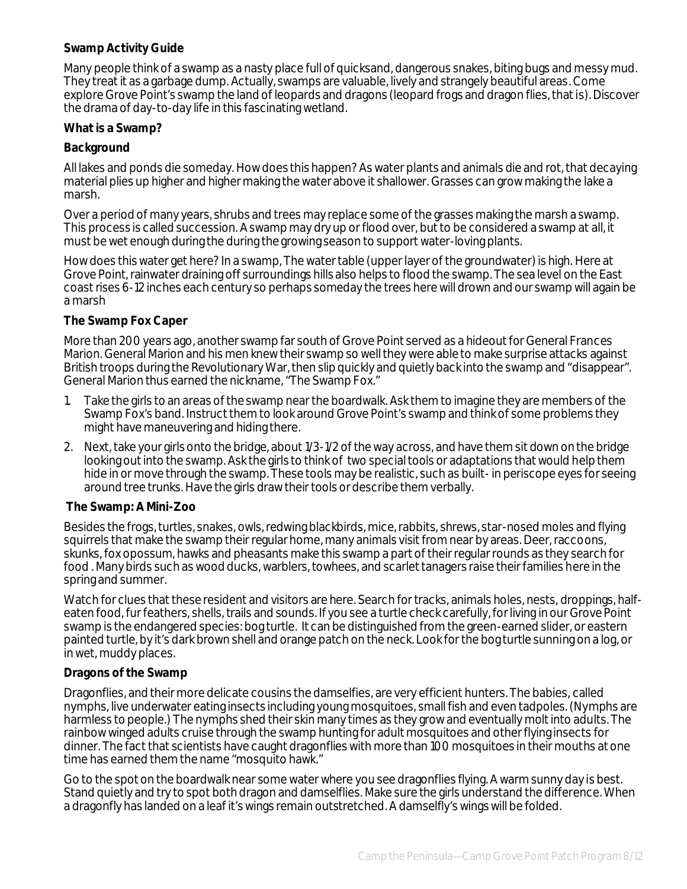## **Swamp Activity Guide**

Many people think of a swamp as a nasty place full of quicksand, dangerous snakes, biting bugs and messy mud. They treat it as a garbage dump. Actually, swamps are valuable, lively and strangely beautiful areas. Come explore Grove Point's swamp the land of leopards and dragons (leopard frogs and dragon flies, that is). Discover the drama of day-to-day life in this fascinating wetland.

#### **What is a Swamp?**

### **Background**

All lakes and ponds die someday. How does this happen? As water plants and animals die and rot, that decaying material plies up higher and higher making the water above it shallower. Grasses can grow making the lake a marsh.

Over a period of many years, shrubs and trees may replace some of the grasses making the marsh a swamp. This process is called succession. A swamp may dry up or flood over, but to be considered a swamp at all, it must be wet enough during the during the growing season to support water-loving plants.

How does this water get here? In a swamp, The water table (upper layer of the groundwater) is high. Here at Grove Point, rainwater draining off surroundings hills also helps to flood the swamp. The sea level on the East coast rises 6-12 inches each century so perhaps someday the trees here will drown and our swamp will again be a marsh

#### **The Swamp Fox Caper**

More than 200 years ago, another swamp far south of Grove Point served as a hideout for General Frances Marion. General Marion and his men knew their swamp so well they were able to make surprise attacks against British troops during the Revolutionary War, then slip quickly and quietly back into the swamp and "disappear". General Marion thus earned the nickname, "The Swamp Fox."

- 1. Take the girls to an areas of the swamp near the boardwalk. Ask them to imagine they are members of the Swamp Fox's band. Instruct them to look around Grove Point's swamp and think of some problems they might have maneuvering and hiding there.
- 2. Next, take your girls onto the bridge, about 1/3-1/2 of the way across, and have them sit down on the bridge looking out into the swamp. Ask the girls to think of two special tools or adaptations that would help them hide in or move through the swamp. These tools may be realistic, such as built-in periscope eyes for seeing around tree trunks. Have the girls draw their tools or describe them verbally.

#### **The Swamp: A Mini-Zoo**

Besides the frogs, turtles, snakes, owls, redwing blackbirds, mice, rabbits, shrews, star-nosed moles and flying squirrels that make the swamp their regular home, many animals visit from near by areas. Deer, raccoons, skunks, fox opossum, hawks and pheasants make this swamp a part of their regular rounds as they search for food . Many birds such as wood ducks, warblers, towhees, and scarlet tanagers raise their families here in the spring and summer.

Watch for clues that these resident and visitors are here. Search for tracks, animals holes, nests, droppings, halfeaten food, fur feathers, shells, trails and sounds. If you see a turtle check carefully, for living in our Grove Point swamp is the endangered species: bog turtle. It can be distinguished from the green-earned slider, or eastern painted turtle, by it's dark brown shell and orange patch on the neck. Look for the bog turtle sunning on a log, or in wet, muddy places.

#### **Dragons of the Swamp**

Dragonflies, and their more delicate cousins the damselfies, are very efficient hunters. The babies, called nymphs, live underwater eating insects including young mosquitoes, small fish and even tadpoles. (Nymphs are harmless to people.) The nymphs shed their skin many times as they grow and eventually molt into adults. The rainbow winged adults cruise through the swamp hunting for adult mosquitoes and other flying insects for dinner. The fact that scientists have caught dragonflies with more than 100 mosquitoes in their mouths at one time has earned them the name "mosquito hawk."

Go to the spot on the boardwalk near some water where you see dragonflies flying. A warm sunny day is best. Stand quietly and try to spot both dragon and damselflies. Make sure the girls understand the difference. When a dragonfly has landed on a leaf it's wings remain outstretched. A damselfly's wings will be folded.